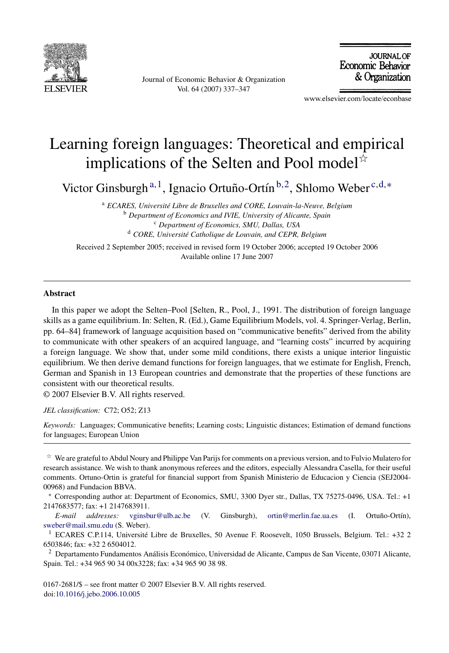

Journal of Economic Behavior & Organization Vol. 64 (2007) 337–347

**JOURNAL OF** Economic Behavior & Organization

www.elsevier.com/locate/econbase

# Learning foreign languages: Theoretical and empirical implications of the Selten and Pool model $\dot{\mathbf{x}}$

Victor Ginsburgh<sup>a, 1</sup>, Ignacio Ortuño-Ortín<sup>b, 2</sup>, Shlomo Weber<sup>c, d,</sup>\*

<sup>a</sup> ECARES, Université Libre de Bruxelles and CORE, Louvain-la-Neuve, Belgium <sup>b</sup> *Department of Economics and IVIE, University of Alicante, Spain* <sup>c</sup> *Department of Economics, SMU, Dallas, USA* <sup>d</sup> CORE, Université Catholique de Louvain, and CEPR, Belgium

Received 2 September 2005; received in revised form 19 October 2006; accepted 19 October 2006 Available online 17 June 2007

#### **Abstract**

In this paper we adopt the Selten–Pool [Selten, R., Pool, J., 1991. The distribution of foreign language skills as a game equilibrium. In: Selten, R. (Ed.), Game Equilibrium Models, vol. 4. Springer-Verlag, Berlin, pp. 64–84] framework of language acquisition based on "communicative benefits" derived from the ability to communicate with other speakers of an acquired language, and "learning costs" incurred by acquiring a foreign language. We show that, under some mild conditions, there exists a unique interior linguistic equilibrium. We then derive demand functions for foreign languages, that we estimate for English, French, German and Spanish in 13 European countries and demonstrate that the properties of these functions are consistent with our theoretical results.

© 2007 Elsevier B.V. All rights reserved.

*JEL classification:* C72; O52; Z13

*Keywords:* Languages; Communicative benefits; Learning costs; Linguistic distances; Estimation of demand functions for languages; European Union

 $*$  We are grateful to Abdul Noury and Philippe Van Parijs for comments on a previous version, and to Fulvio Mulatero for research assistance. We wish to thank anonymous referees and the editors, especially Alessandra Casella, for their useful comments. Ortuno-Ortin is grateful for financial support from Spanish Ministerio de Educacion y Ciencia (SEJ2004- 00968) and Fundacion BBVA.

∗ Corresponding author at: Department of Economics, SMU, 3300 Dyer str., Dallas, TX 75275-0496, USA. Tel.: +1 2147683577; fax: +1 2147683911.

*E-mail addresses:* [vginsbur@ulb.ac.be](mailto:vginsbur@ulb.ac.be) (V. Ginsburgh), [ortin@merlin.fae.ua.es](mailto:ortin@merlin.fae.ua.es) (I. Ortuño-Ortín), [sweber@mail.smu.edu](mailto:sweber@mail.smu.edu) (S. Weber).

<sup>1</sup> ECARES C.P.114, Université Libre de Bruxelles, 50 Avenue F. Roosevelt, 1050 Brussels, Belgium. Tel.: +32 2 6503846; fax: +32 2 6504012.

 $2$  Departamento Fundamentos Análisis Económico, Universidad de Alicante, Campus de San Vicente, 03071 Alicante, Spain. Tel.: +34 965 90 34 00x3228; fax: +34 965 90 38 98.

0167-2681/\$ – see front matter © 2007 Elsevier B.V. All rights reserved. doi[:10.1016/j.jebo.2006.10.005](dx.doi.org/10.1016/j.jebo.2006.10.005)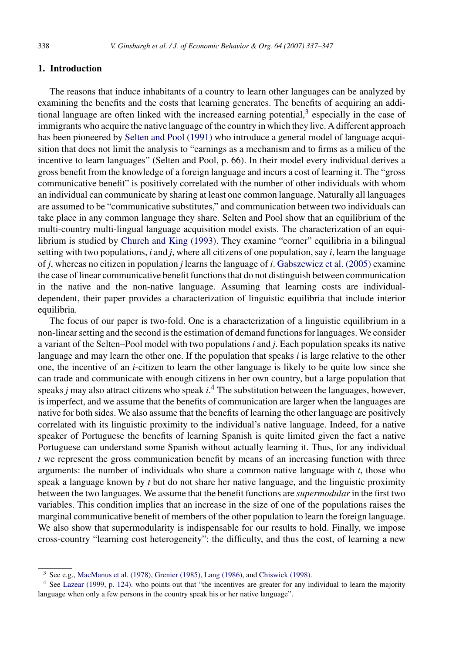## <span id="page-1-0"></span>**1. Introduction**

The reasons that induce inhabitants of a country to learn other languages can be analyzed by examining the benefits and the costs that learning generates. The benefits of acquiring an additional language are often linked with the increased earning potential, $3$  especially in the case of immigrants who acquire the native language of the country in which they live. A different approach has been pioneered by [Selten and Pool \(1991\)](#page-10-0) who introduce a general model of language acquisition that does not limit the analysis to "earnings as a mechanism and to firms as a milieu of the incentive to learn languages" (Selten and Pool, p. 66). In their model every individual derives a gross benefit from the knowledge of a foreign language and incurs a cost of learning it. The "gross communicative benefit" is positively correlated with the number of other individuals with whom an individual can communicate by sharing at least one common language. Naturally all languages are assumed to be "communicative substitutes," and communication between two individuals can take place in any common language they share. Selten and Pool show that an equilibrium of the multi-country multi-lingual language acquisition model exists. The characterization of an equilibrium is studied by [Church and King \(1993\).](#page-10-0) They examine "corner" equilibria in a bilingual setting with two populations, *i* and *j*, where all citizens of one population, say *i*, learn the language of *j*, whereas no citizen in population *j* learns the language of *i*. [Gabszewicz et al. \(2005\)](#page-10-0) examine the case of linear communicative benefit functions that do not distinguish between communication in the native and the non-native language. Assuming that learning costs are individualdependent, their paper provides a characterization of linguistic equilibria that include interior equilibria.

The focus of our paper is two-fold. One is a characterization of a linguistic equilibrium in a non-linear setting and the second is the estimation of demand functions for languages. We consider a variant of the Selten–Pool model with two populations *i* and *j*. Each population speaks its native language and may learn the other one. If the population that speaks *i* is large relative to the other one, the incentive of an *i*-citizen to learn the other language is likely to be quite low since she can trade and communicate with enough citizens in her own country, but a large population that speaks *j* may also attract citizens who speak *i*. <sup>4</sup> The substitution between the languages, however, is imperfect, and we assume that the benefits of communication are larger when the languages are native for both sides. We also assume that the benefits of learning the other language are positively correlated with its linguistic proximity to the individual's native language. Indeed, for a native speaker of Portuguese the benefits of learning Spanish is quite limited given the fact a native Portuguese can understand some Spanish without actually learning it. Thus, for any individual *t* we represent the gross communication benefit by means of an increasing function with three arguments: the number of individuals who share a common native language with *t*, those who speak a language known by *t* but do not share her native language, and the linguistic proximity between the two languages. We assume that the benefit functions are *supermodular*in the first two variables. This condition implies that an increase in the size of one of the populations raises the marginal communicative benefit of members of the other population to learn the foreign language. We also show that supermodularity is indispensable for our results to hold. Finally, we impose cross-country "learning cost heterogeneity": the difficulty, and thus the cost, of learning a new

<sup>3</sup> See e.g., [MacManus et al. \(1978\),](#page-10-0) [Grenier \(1985\),](#page-10-0) [Lang \(1986\), a](#page-10-0)nd [Chiswick \(1998\).](#page-9-0)

<sup>4</sup> See [Lazear \(1999, p. 124\).](#page-10-0) who points out that "the incentives are greater for any individual to learn the majority language when only a few persons in the country speak his or her native language".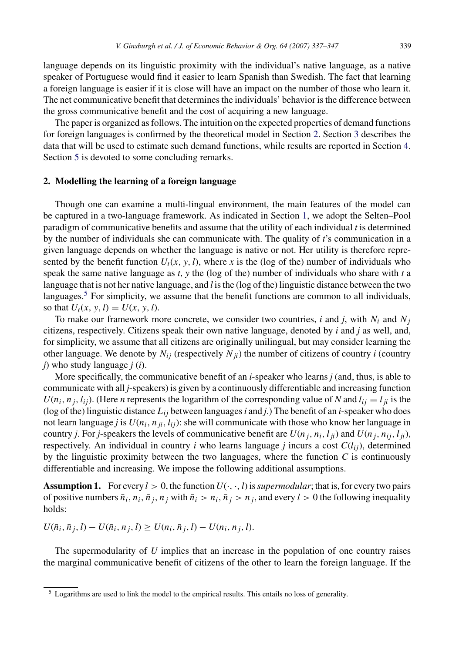<span id="page-2-0"></span>language depends on its linguistic proximity with the individual's native language, as a native speaker of Portuguese would find it easier to learn Spanish than Swedish. The fact that learning a foreign language is easier if it is close will have an impact on the number of those who learn it. The net communicative benefit that determines the individuals' behavior is the difference between the gross communicative benefit and the cost of acquiring a new language.

The paper is organized as follows. The intuition on the expected properties of demand functions for foreign languages is confirmed by the theoretical model in Section 2. Section [3](#page-5-0) describes the data that will be used to estimate such demand functions, while results are reported in Section [4.](#page-6-0) Section [5](#page-9-0) is devoted to some concluding remarks.

#### **2. Modelling the learning of a foreign language**

Though one can examine a multi-lingual environment, the main features of the model can be captured in a two-language framework. As indicated in Section [1,](#page-1-0) we adopt the Selten–Pool paradigm of communicative benefits and assume that the utility of each individual *t* is determined by the number of individuals she can communicate with. The quality of *t*'s communication in a given language depends on whether the language is native or not. Her utility is therefore represented by the benefit function  $U_t(x, y, l)$ , where x is the (log of the) number of individuals who speak the same native language as *t*, *y* the (log of the) number of individuals who share with *t* a language that is not her native language, and *l* is the (log of the) linguistic distance between the two languages.<sup>5</sup> For simplicity, we assume that the benefit functions are common to all individuals, so that  $U_t(x, y, l) = U(x, y, l)$ .

To make our framework more concrete, we consider two countries,  $i$  and  $j$ , with  $N_i$  and  $N_j$ citizens, respectively. Citizens speak their own native language, denoted by *i* and *j* as well, and, for simplicity, we assume that all citizens are originally unilingual, but may consider learning the other language. We denote by  $N_{ij}$  (respectively  $N_{ij}$ ) the number of citizens of country *i* (country *j*) who study language *j* (*i*).

More specifically, the communicative benefit of an *i*-speaker who learns *j* (and, thus, is able to communicate with all *j*-speakers) is given by a continuously differentiable and increasing function  $U(n_i, n_j, l_{ij})$ . (Here *n* represents the logarithm of the corresponding value of *N* and  $l_{ij} = l_{ji}$  is the (log of the) linguistic distance *Lij* between languages*i* and *j*.) The benefit of an *i*-speaker who does not learn language *j* is  $U(n_i, n_{ji}, l_{ij})$ : she will communicate with those who know her language in country *j*. For *j*-speakers the levels of communicative benefit are  $U(n_i, n_i, l_{ii})$  and  $U(n_i, n_{ii}, l_{ii})$ , respectively. An individual in country *i* who learns language *j* incurs a cost  $C(l_{ij})$ , determined by the linguistic proximity between the two languages, where the function *C* is continuously differentiable and increasing. We impose the following additional assumptions.

**Assumption 1.** For every  $l > 0$ , the function  $U(\cdot, \cdot, l)$  is *supermodular*; that is, for every two pairs of positive numbers  $\bar{n}_i$ ,  $n_i$ ,  $\bar{n}_j$ ,  $n_j$  with  $\bar{n}_i > n_i$ ,  $\bar{n}_j > n_j$ , and every  $l > 0$  the following inequality holds:

 $U(\bar{n}_i, \bar{n}_j, l) - U(\bar{n}_i, n_j, l) \geq U(n_i, \bar{n}_j, l) - U(n_i, n_j, l).$ 

The supermodularity of *U* implies that an increase in the population of one country raises the marginal communicative benefit of citizens of the other to learn the foreign language. If the

<sup>5</sup> Logarithms are used to link the model to the empirical results. This entails no loss of generality.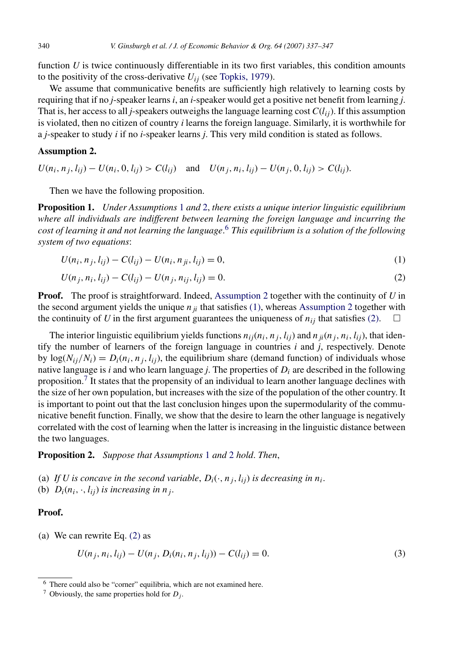<span id="page-3-0"></span>function *U* is twice continuously differentiable in its two first variables, this condition amounts to the positivity of the cross-derivative  $U_{ij}$  (see [Topkis, 1979\).](#page-10-0)

We assume that communicative benefits are sufficiently high relatively to learning costs by requiring that if no *j*-speaker learns *i*, an *i*-speaker would get a positive net benefit from learning *j*. That is, her access to all *j*-speakers outweighs the language learning cost  $C(l_{ii})$ . If this assumption is violated, then no citizen of country *i* learns the foreign language. Similarly, it is worthwhile for a *j*-speaker to study *i* if no *i*-speaker learns *j*. This very mild condition is stated as follows.

## **Assumption 2.**

 $U(n_i, n_j, l_{ij}) - U(n_i, 0, l_{ij}) > C(l_{ij})$  and  $U(n_j, n_i, l_{ij}) - U(n_j, 0, l_{ij}) > C(l_{ij})$ .

Then we have the following proposition.

**Proposition 1.** *Under Assumptions* [1](#page-2-0) *and* 2, *there exists a unique interior linguistic equilibrium where all individuals are indifferent between learning the foreign language and incurring the cost of learning it and not learning the language*. <sup>6</sup> *This equilibrium is a solution of the following system of two equations*:

$$
U(n_i, n_j, l_{ij}) - C(l_{ij}) - U(n_i, n_{ji}, l_{ij}) = 0,
$$
\n(1)

$$
U(n_j, n_i, l_{ij}) - C(l_{ij}) - U(n_j, n_{ij}, l_{ij}) = 0.
$$
\n(2)

**Proof.** The proof is straightforward. Indeed, Assumption 2 together with the continuity of *U* in the second argument yields the unique  $n_{ij}$  that satisfies (1), whereas Assumption 2 together with the continuity of *U* in the first argument guarantees the uniqueness of  $n_{ij}$  that satisfies (2).  $\Box$ 

The interior linguistic equilibrium yields functions  $n_{ij}(n_i, n_j, l_{ij})$  and  $n_{ji}(n_j, n_i, l_{ij})$ , that identify the number of learners of the foreign language in countries *i* and *j*, respectively. Denote by  $\log(N_{ii}/N_i) = D_i(n_i, n_i, l_{ii})$ , the equilibrium share (demand function) of individuals whose native language is *i* and who learn language *j*. The properties of *Di* are described in the following proposition.7 It states that the propensity of an individual to learn another language declines with the size of her own population, but increases with the size of the population of the other country. It is important to point out that the last conclusion hinges upon the supermodularity of the communicative benefit function. Finally, we show that the desire to learn the other language is negatively correlated with the cost of learning when the latter is increasing in the linguistic distance between the two languages.

**Proposition 2.** *Suppose that Assumptions* [1](#page-2-0) *and* 2 *hold*. *Then*,

- (a) If U is concave in the second variable,  $D_i(\cdot, n_j, l_{ij})$  is decreasing in  $n_i$ .
- (b)  $D_i(n_i, \cdot, l_{ii})$  *is increasing in n<sub>j</sub>*.

## **Proof.**

(a) We can rewrite Eq. (2) as

$$
U(n_j, n_i, l_{ij}) - U(n_j, D_i(n_i, n_j, l_{ij})) - C(l_{ij}) = 0.
$$
\n(3)

<sup>6</sup> There could also be "corner" equilibria, which are not examined here.

<sup>&</sup>lt;sup>7</sup> Obviously, the same properties hold for  $D_i$ .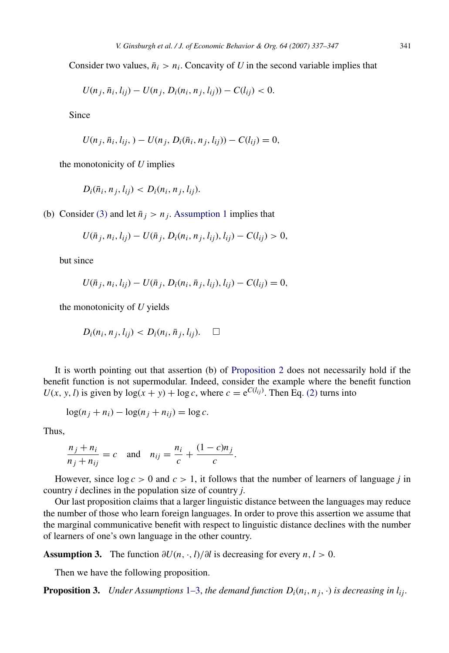<span id="page-4-0"></span>Consider two values,  $\bar{n}_i > n_i$ . Concavity of *U* in the second variable implies that

$$
U(n_j, \bar{n}_i, l_{ij}) - U(n_j, D_i(n_i, n_j, l_{ij})) - C(l_{ij}) < 0.
$$

Since

$$
U(n_j, \bar{n}_i, l_{ij},) - U(n_j, D_i(\bar{n}_i, n_j, l_{ij})) - C(l_{ij}) = 0,
$$

the monotonicity of *U* implies

$$
D_i(\bar{n}_i, n_j, l_{ij}) < D_i(n_i, n_j, l_{ij}).
$$

(b) Consider [\(3\)](#page-3-0) and let  $\bar{n}_i > n_j$ . [Assumption 1](#page-2-0) implies that

$$
U(\bar{n}_j, n_i, l_{ij}) - U(\bar{n}_j, D_i(n_i, n_j, l_{ij}), l_{ij}) - C(l_{ij}) > 0,
$$

but since

$$
U(\bar{n}_j, n_i, l_{ij}) - U(\bar{n}_j, D_i(n_i, \bar{n}_j, l_{ij}), l_{ij}) - C(l_{ij}) = 0,
$$

the monotonicity of *U* yields

$$
D_i(n_i, n_j, l_{ij}) < D_i(n_i, \bar{n}_j, l_{ij}). \quad \Box
$$

It is worth pointing out that assertion (b) of [Proposition 2](#page-3-0) does not necessarily hold if the benefit function is not supermodular. Indeed, consider the example where the benefit function  $U(x, y, l)$  is given by  $log(x + y) + log c$ , where  $c = e^{C(l_{ij})}$ . Then Eq. [\(2\)](#page-3-0) turns into

$$
\log(n_j + n_i) - \log(n_j + n_{ij}) = \log c.
$$

Thus,

$$
\frac{n_j + n_i}{n_j + n_{ij}} = c \quad \text{and} \quad n_{ij} = \frac{n_i}{c} + \frac{(1 - c)n_j}{c}.
$$

However, since  $\log c > 0$  and  $c > 1$ , it follows that the number of learners of language *j* in country *i* declines in the population size of country *j*.

Our last proposition claims that a larger linguistic distance between the languages may reduce the number of those who learn foreign languages. In order to prove this assertion we assume that the marginal communicative benefit with respect to linguistic distance declines with the number of learners of one's own language in the other country.

**Assumption 3.** The function  $\partial U(n, \cdot, l)/\partial l$  is decreasing for every  $n, l > 0$ .

Then we have the following proposition.

**Proposition 3.** *Under Assumptions* [1–3,](#page-2-0) *the demand function*  $D_i(n_i, n_j, \cdot)$  *is decreasing in*  $l_{ij}$ *.*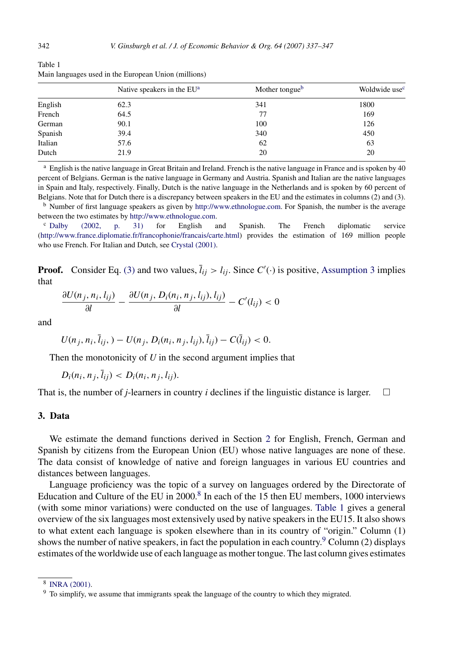|         | Native speakers in the EU <sup>a</sup> | Mother tongue <sup>b</sup> | Woldwide use <sup>c</sup> |
|---------|----------------------------------------|----------------------------|---------------------------|
| English | 62.3                                   | 341                        | 1800                      |
| French  | 64.5                                   | 77                         | 169                       |
| German  | 90.1                                   | 100                        | 126                       |
| Spanish | 39.4                                   | 340                        | 450                       |
| Italian | 57.6                                   | 62                         | 63                        |
| Dutch   | 21.9                                   | 20                         | 20                        |

<span id="page-5-0"></span>Table 1 Main languages used in the European Union (millions)

 $^{\rm a}$  English is the native language in Great Britain and Ireland. French is the native language in France and is spoken by 40 percent of Belgians. German is the native language in Germany and Austria. Spanish and Italian are the native languages in Spain and Italy, respectively. Finally, Dutch is the native language in the Netherlands and is spoken by 60 percent of Belgians. Note that for Dutch there is a discrepancy between speakers in the EU and the estimates in columns (2) and (3).

<sup>b</sup> Number of first language speakers as given by <http://www.ethnologue.com>. For Spanish, the number is the average between the two estimates by <http://www.ethnologue.com>.

<sup>c</sup> [Dalby \(2002, p. 31\)](#page-10-0) for English and Spanish. The French diplomatic service [\(http://www.france.diplomatie.fr/francophonie/francais/carte.html](http://www.france.diplomatie.fr/francophonie/francais/carte.html)) provides the estimation of 169 million people who use French. For Italian and Dutch, see [Crystal \(2001\).](#page-10-0)

**Proof.** Consider Eq. [\(3\)](#page-3-0) and two values,  $\overline{l}_{ij} > l_{ij}$ . Since  $C'(\cdot)$  is positive, [Assumption 3](#page-4-0) implies that

$$
\frac{\partial U(n_j, n_i, l_{ij})}{\partial l} - \frac{\partial U(n_j, D_i(n_i, n_j, l_{ij}), l_{ij})}{\partial l} - C'(l_{ij}) < 0
$$

and

$$
U(n_j, n_i, \bar{l}_{ij}, ) - U(n_j, D_i(n_i, n_j, l_{ij}), \bar{l}_{ij}) - C(\bar{l}_{ij}) < 0.
$$

Then the monotonicity of *U* in the second argument implies that

 $D_i(n_i, n_j, \bar{l}_{ij}) < D_i(n_i, n_j, l_{ij})$ .

That is, the number of *j*-learners in country *i* declines if the linguistic distance is larger.  $\Box$ 

#### **3. Data**

We estimate the demand functions derived in Section [2](#page-2-0) for English, French, German and Spanish by citizens from the European Union (EU) whose native languages are none of these. The data consist of knowledge of native and foreign languages in various EU countries and distances between languages.

Language proficiency was the topic of a survey on languages ordered by the Directorate of Education and Culture of the EU in 2000.<sup>8</sup> In each of the 15 then EU members, 1000 interviews (with some minor variations) were conducted on the use of languages. Table 1 gives a general overview of the six languages most extensively used by native speakers in the EU15. It also shows to what extent each language is spoken elsewhere than in its country of "origin." Column (1) shows the number of native speakers, in fact the population in each country.<sup>9</sup> Column (2) displays estimates of the worldwide use of each language as mother tongue. The last column gives estimates

<sup>8</sup> [INRA \(2001\).](#page-10-0)

 $9$  To simplify, we assume that immigrants speak the language of the country to which they migrated.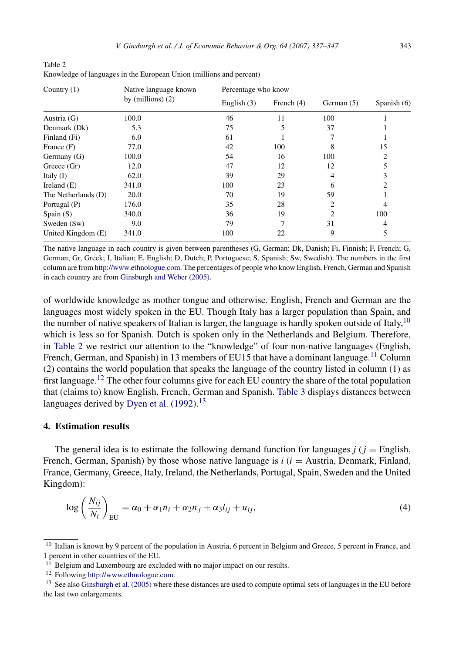| Country $(1)$       | Native language known<br>by (millions) $(2)$ | Percentage who know |            |                |                |
|---------------------|----------------------------------------------|---------------------|------------|----------------|----------------|
|                     |                                              | English $(3)$       | French (4) | German (5)     | Spanish $(6)$  |
| Austria (G)         | 100.0                                        | 46                  | 11         | 100            |                |
| Denmark (Dk)        | 5.3                                          | 75                  | 5          | 37             |                |
| Finland (Fi)        | 6.0                                          | 61                  |            |                |                |
| France $(F)$        | 77.0                                         | 42                  | 100        | 8              | 15             |
| Germany (G)         | 100.0                                        | 54                  | 16         | 100            | $\overline{c}$ |
| Greece (Gr)         | 12.0                                         | 47                  | 12         | 12             | 5              |
| Italy $(I)$         | 62.0                                         | 39                  | 29         | 4              | 3              |
| Ireland $(E)$       | 341.0                                        | 100                 | 23         | 6              | 2              |
| The Netherlands (D) | 20.0                                         | 70                  | 19         | 59             |                |
| Portugal (P)        | 176.0                                        | 35                  | 28         | 2              | 4              |
| Spain $(S)$         | 340.0                                        | 36                  | 19         | $\mathfrak{D}$ | 100            |
| Sweden (Sw)         | 9.0                                          | 79                  | 7          | 31             | 4              |
| United Kingdom (E)  | 341.0                                        | 100                 | 22         | 9              | 5              |

<span id="page-6-0"></span>Table 2 Knowledge of languages in the European Union (millions and percent)

The native language in each country is given between parentheses (G, German; Dk, Danish; Fi, Finnish; F, French; G, German; Gr, Greek; I, Italian; E, English; D, Dutch; P, Portuguese; S, Spanish; Sw, Swedish). The numbers in the first column are from [http://www.ethnologue.com.](http://www.ethnologue.com) The percentages of people who know English, French, German and Spanish in each country are from [Ginsburgh and Weber \(2005\).](#page-10-0)

of worldwide knowledge as mother tongue and otherwise. English, French and German are the languages most widely spoken in the EU. Though Italy has a larger population than Spain, and the number of native speakers of Italian is larger, the language is hardly spoken outside of Italy,<sup>10</sup> which is less so for Spanish. Dutch is spoken only in the Netherlands and Belgium. Therefore, in Table 2 we restrict our attention to the "knowledge" of four non-native languages (English, French, German, and Spanish) in 13 members of EU15 that have a dominant language.<sup>11</sup> Column (2) contains the world population that speaks the language of the country listed in column (1) as first language.<sup>12</sup> The other four columns give for each EU country the share of the total population that (claims to) know English, French, German and Spanish. [Table 3](#page-7-0) displays distances between languages derived by [Dyen et al. \(1992\).](#page-10-0)<sup>13</sup>

### **4. Estimation results**

The general idea is to estimate the following demand function for languages  $j$  ( $j =$  English, French, German, Spanish) by those whose native language is *i* (*i* = Austria, Denmark, Finland, France, Germany, Greece, Italy, Ireland, the Netherlands, Portugal, Spain, Sweden and the United Kingdom):

$$
\log\left(\frac{N_{ij}}{N_i}\right)_{\text{EU}} = \alpha_0 + \alpha_1 n_i + \alpha_2 n_j + \alpha_3 l_{ij} + u_{ij},\tag{4}
$$

<sup>&</sup>lt;sup>10</sup> Italian is known by 9 percent of the population in Austria, 6 percent in Belgium and Greece, 5 percent in France, and 1 percent in other countries of the EU.

 $11$  Belgium and Luxembourg are excluded with no major impact on our results.

<sup>12</sup> Following <http://www.ethnologue.com>.

<sup>&</sup>lt;sup>13</sup> See also [Ginsburgh et al. \(2005\)](#page-10-0) where these distances are used to compute optimal sets of languages in the EU before the last two enlargements.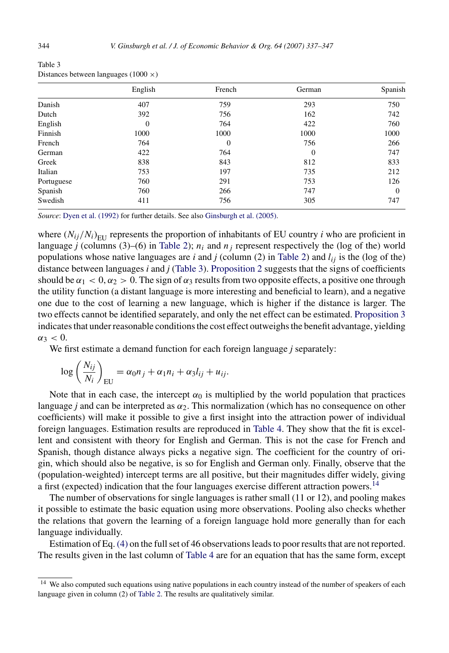|            | English  | French   | German   | Spanish  |
|------------|----------|----------|----------|----------|
| Danish     | 407      | 759      | 293      | 750      |
| Dutch      | 392      | 756      | 162      | 742      |
| English    | $\theta$ | 764      | 422      | 760      |
| Finnish    | 1000     | 1000     | 1000     | 1000     |
| French     | 764      | $\Omega$ | 756      | 266      |
| German     | 422      | 764      | $\Omega$ | 747      |
| Greek      | 838      | 843      | 812      | 833      |
| Italian    | 753      | 197      | 735      | 212      |
| Portuguese | 760      | 291      | 753      | 126      |
| Spanish    | 760      | 266      | 747      | $\Omega$ |
| Swedish    | 411      | 756      | 305      | 747      |

<span id="page-7-0"></span>Table 3 Distances between languages  $(1000 \times)$ 

*Source*: [Dyen et al. \(1992\)](#page-10-0) for further details. See also [Ginsburgh et al. \(2005\).](#page-10-0)

where  $(N_{ij}/N_i)_{\text{EU}}$  represents the proportion of inhabitants of EU country *i* who are proficient in language *j* (columns (3)–(6) in [Table 2\);](#page-6-0)  $n_i$  and  $n_j$  represent respectively the (log of the) world populations whose native languages are *i* and *j* (column (2) in [Table 2\)](#page-6-0) and  $l_{ij}$  is the (log of the) distance between languages *i* and *j* (Table 3). [Proposition 2](#page-3-0) suggests that the signs of coefficients should be  $\alpha_1 < 0$ ,  $\alpha_2 > 0$ . The sign of  $\alpha_3$  results from two opposite effects, a positive one through the utility function (a distant language is more interesting and beneficial to learn), and a negative one due to the cost of learning a new language, which is higher if the distance is larger. The two effects cannot be identified separately, and only the net effect can be estimated. [Proposition 3](#page-4-0) indicates that under reasonable conditions the cost effect outweighs the benefit advantage, yielding  $α_3 < 0$ .

We first estimate a demand function for each foreign language *j* separately:

$$
\log\left(\frac{N_{ij}}{N_i}\right)_{\text{EU}} = \alpha_0 n_j + \alpha_1 n_i + \alpha_3 l_{ij} + u_{ij}.
$$

Note that in each case, the intercept  $\alpha_0$  is multiplied by the world population that practices language *j* and can be interpreted as *α*2. This normalization (which has no consequence on other coefficients) will make it possible to give a first insight into the attraction power of individual foreign languages. Estimation results are reproduced in [Table 4.](#page-8-0) They show that the fit is excellent and consistent with theory for English and German. This is not the case for French and Spanish, though distance always picks a negative sign. The coefficient for the country of origin, which should also be negative, is so for English and German only. Finally, observe that the (population-weighted) intercept terms are all positive, but their magnitudes differ widely, giving a first (expected) indication that the four languages exercise different attraction powers.<sup>14</sup>

The number of observations for single languages is rather small (11 or 12), and pooling makes it possible to estimate the basic equation using more observations. Pooling also checks whether the relations that govern the learning of a foreign language hold more generally than for each language individually.

Estimation of Eq. [\(4\)](#page-6-0) on the full set of 46 observations leads to poor results that are not reported. The results given in the last column of [Table 4](#page-8-0) are for an equation that has the same form, except

<sup>&</sup>lt;sup>14</sup> We also computed such equations using native populations in each country instead of the number of speakers of each language given in column (2) of [Table 2. T](#page-6-0)he results are qualitatively similar.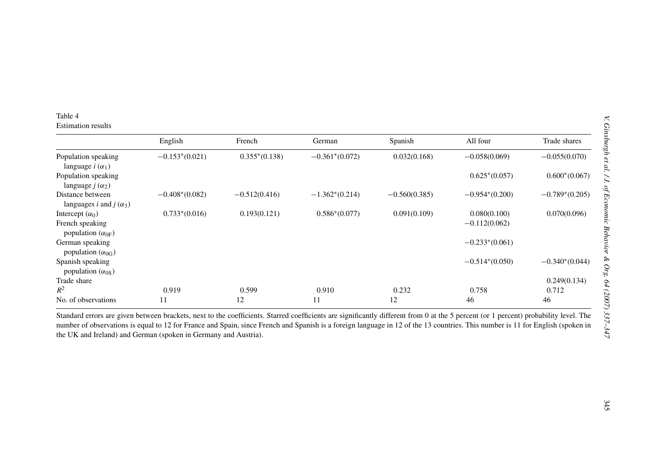<span id="page-8-0"></span>

| Table 4         |  |
|-----------------|--|
| Estimation resu |  |

|                                                                                                                                                                                                                                                                                                                                                                                                                                                                           | English          | French          | German           | Spanish         | All four                        | Trade shares     |
|---------------------------------------------------------------------------------------------------------------------------------------------------------------------------------------------------------------------------------------------------------------------------------------------------------------------------------------------------------------------------------------------------------------------------------------------------------------------------|------------------|-----------------|------------------|-----------------|---------------------------------|------------------|
| Population speaking<br>language $i(\alpha_1)$                                                                                                                                                                                                                                                                                                                                                                                                                             | $-0.153*(0.021)$ | $0.355*(0.138)$ | $-0.361*(0.072)$ | 0.032(0.168)    | $-0.058(0.069)$                 | $-0.055(0.070)$  |
| Population speaking<br>language $j(\alpha_2)$                                                                                                                                                                                                                                                                                                                                                                                                                             |                  |                 |                  |                 | $0.625*(0.057)$                 | $0.600*(0.067)$  |
| Distance between<br>languages <i>i</i> and <i>j</i> ( $\alpha_3$ )                                                                                                                                                                                                                                                                                                                                                                                                        | $-0.408*(0.082)$ | $-0.512(0.416)$ | $-1.362*(0.214)$ | $-0.560(0.385)$ | $-0.954*(0.200)$                | $-0.789*(0.205)$ |
| Intercept $(\alpha_0)$<br>French speaking<br>population $(\alpha_{0F})$                                                                                                                                                                                                                                                                                                                                                                                                   | $0.733*(0.016)$  | 0.193(0.121)    | $0.586*(0.077)$  | 0.091(0.109)    | 0.080(0.100)<br>$-0.112(0.062)$ | 0.070(0.096)     |
| German speaking<br>population $(\alpha_{0G})$                                                                                                                                                                                                                                                                                                                                                                                                                             |                  |                 |                  |                 | $-0.233*(0.061)$                |                  |
| Spanish speaking<br>population $(\alpha_{0S})$                                                                                                                                                                                                                                                                                                                                                                                                                            |                  |                 |                  |                 | $-0.514*(0.050)$                | $-0.340*(0.044)$ |
| Trade share                                                                                                                                                                                                                                                                                                                                                                                                                                                               |                  |                 |                  |                 |                                 | 0.249(0.134)     |
|                                                                                                                                                                                                                                                                                                                                                                                                                                                                           | 0.919            | 0.599           | 0.910            | 0.232           | 0.758                           | 0.712            |
|                                                                                                                                                                                                                                                                                                                                                                                                                                                                           | 11               | 12              | 11               | 12              | 46                              | 46               |
| $R^2$<br>No. of observations<br>Standard errors are given between brackets, next to the coefficients. Starred coefficients are significantly different from 0 at the 5 percent (or 1 percent) probability level. The<br>number of observations is equal to 12 for France and Spain, since French and Spanish is a foreign language in 12 of the 13 countries. This number is 11 for English (spoken in<br>the UK and Ireland) and German (spoken in Germany and Austria). |                  |                 |                  |                 |                                 |                  |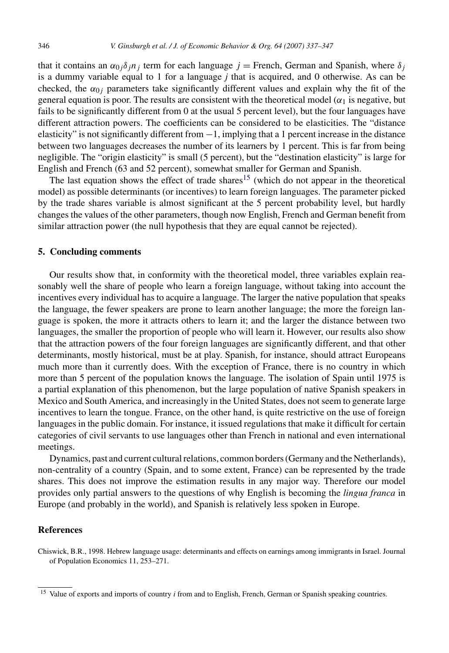<span id="page-9-0"></span>that it contains an  $\alpha_{0j}\delta_j n_j$  term for each language  $j$  = French, German and Spanish, where  $\delta_j$ is a dummy variable equal to 1 for a language *j* that is acquired, and 0 otherwise. As can be checked, the  $\alpha_{0i}$  parameters take significantly different values and explain why the fit of the general equation is poor. The results are consistent with the theoretical model ( $\alpha_1$  is negative, but fails to be significantly different from 0 at the usual 5 percent level), but the four languages have different attraction powers. The coefficients can be considered to be elasticities. The "distance elasticity" is not significantly different from −1, implying that a 1 percent increase in the distance between two languages decreases the number of its learners by 1 percent. This is far from being negligible. The "origin elasticity" is small (5 percent), but the "destination elasticity" is large for English and French (63 and 52 percent), somewhat smaller for German and Spanish.

The last equation shows the effect of trade shares<sup>15</sup> (which do not appear in the theoretical model) as possible determinants (or incentives) to learn foreign languages. The parameter picked by the trade shares variable is almost significant at the 5 percent probability level, but hardly changes the values of the other parameters, though now English, French and German benefit from similar attraction power (the null hypothesis that they are equal cannot be rejected).

#### **5. Concluding comments**

Our results show that, in conformity with the theoretical model, three variables explain reasonably well the share of people who learn a foreign language, without taking into account the incentives every individual has to acquire a language. The larger the native population that speaks the language, the fewer speakers are prone to learn another language; the more the foreign language is spoken, the more it attracts others to learn it; and the larger the distance between two languages, the smaller the proportion of people who will learn it. However, our results also show that the attraction powers of the four foreign languages are significantly different, and that other determinants, mostly historical, must be at play. Spanish, for instance, should attract Europeans much more than it currently does. With the exception of France, there is no country in which more than 5 percent of the population knows the language. The isolation of Spain until 1975 is a partial explanation of this phenomenon, but the large population of native Spanish speakers in Mexico and South America, and increasingly in the United States, does not seem to generate large incentives to learn the tongue. France, on the other hand, is quite restrictive on the use of foreign languages in the public domain. For instance, it issued regulations that make it difficult for certain categories of civil servants to use languages other than French in national and even international meetings.

Dynamics, past and current cultural relations, common borders (Germany and the Netherlands), non-centrality of a country (Spain, and to some extent, France) can be represented by the trade shares. This does not improve the estimation results in any major way. Therefore our model provides only partial answers to the questions of why English is becoming the *lingua franca* in Europe (and probably in the world), and Spanish is relatively less spoken in Europe.

## **References**

Chiswick, B.R., 1998. Hebrew language usage: determinants and effects on earnings among immigrants in Israel. Journal of Population Economics 11, 253–271.

<sup>&</sup>lt;sup>15</sup> Value of exports and imports of country *i* from and to English, French, German or Spanish speaking countries.